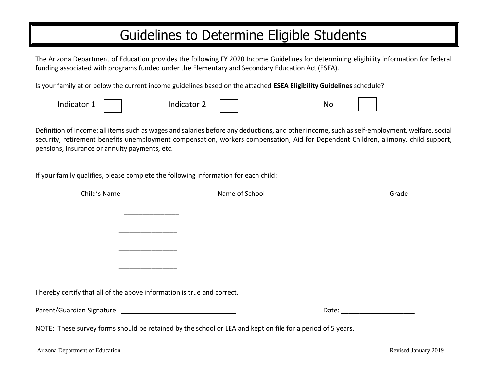## Guidelines to Determine Eligible Students

The Arizona Department of Education provides the following FY 2020 Income Guidelines for determining eligibility information for federal funding associated with programs funded under the Elementary and Secondary Education Act (ESEA).

Is your family at or below the current income guidelines based on the attached **ESEA Eligibility Guidelines** schedule?

| Indicator 1 | Indicator | <b>NC</b> |  |
|-------------|-----------|-----------|--|
|             |           |           |  |

Definition of Income: all items such as wages and salaries before any deductions, and other income, such as self-employment, welfare, social security, retirement benefits unemployment compensation, workers compensation, Aid for Dependent Children, alimony, child support, pensions, insurance or annuity payments, etc.

If your family qualifies, please complete the following information for each child:

| Child's Name                                                            | Name of School |  |                                | Grade |  |
|-------------------------------------------------------------------------|----------------|--|--------------------------------|-------|--|
|                                                                         |                |  |                                |       |  |
|                                                                         |                |  |                                |       |  |
|                                                                         |                |  |                                |       |  |
|                                                                         |                |  |                                |       |  |
| I hereby certify that all of the above information is true and correct. |                |  |                                |       |  |
|                                                                         |                |  | Date: ________________________ |       |  |
|                                                                         |                |  |                                |       |  |

NOTE: These survey forms should be retained by the school or LEA and kept on file for a period of 5 years.